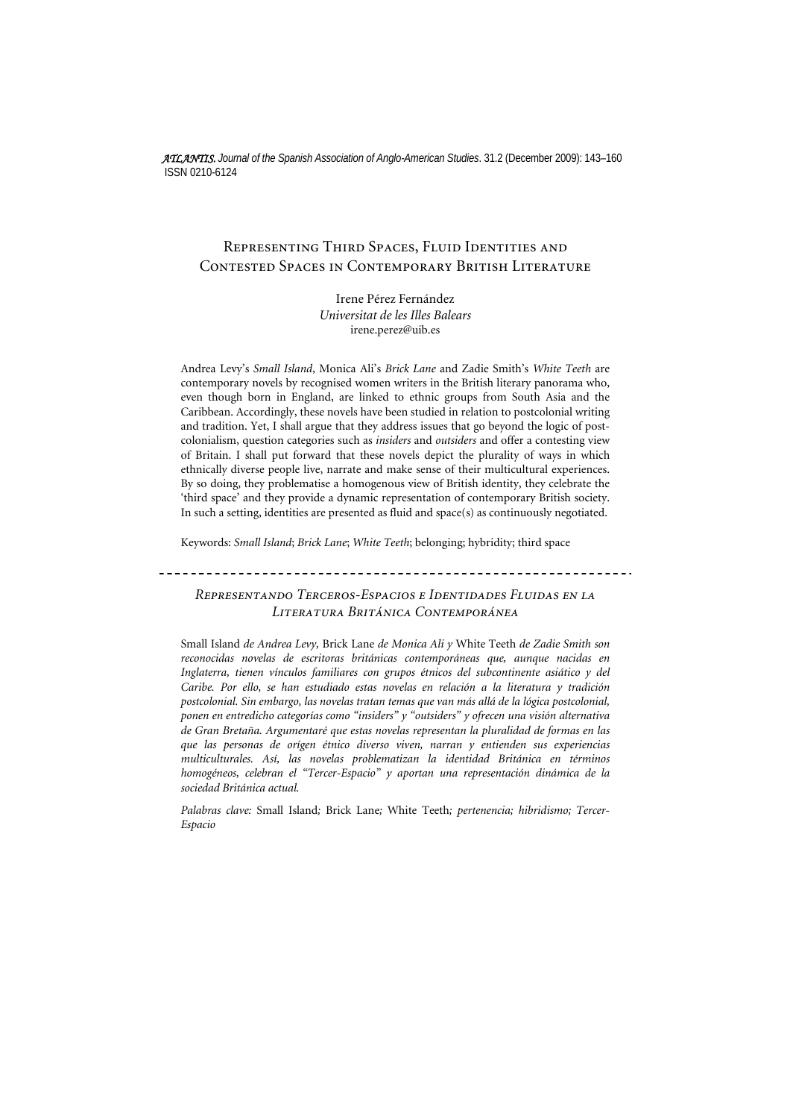*ATLANTIS. Journal of the Spanish Association of Anglo-American Studies*. 31.2 (December 2009): 143–160 ISSN 0210-6124

# Representing Third Spaces, Fluid Identities and Contested Spaces in Contemporary British Literature

Irene Pérez Fernández *Universitat de les Illes Balears*  irene.perez@uib.es

Andrea Levy's *Small Island*, Monica Ali's *Brick Lane* and Zadie Smith's *White Teeth* are contemporary novels by recognised women writers in the British literary panorama who, even though born in England, are linked to ethnic groups from South Asia and the Caribbean. Accordingly, these novels have been studied in relation to postcolonial writing and tradition. Yet, I shall argue that they address issues that go beyond the logic of postcolonialism, question categories such as *insiders* and *outsiders* and offer a contesting view of Britain. I shall put forward that these novels depict the plurality of ways in which ethnically diverse people live, narrate and make sense of their multicultural experiences. By so doing, they problematise a homogenous view of British identity, they celebrate the 'third space' and they provide a dynamic representation of contemporary British society. In such a setting, identities are presented as fluid and space(s) as continuously negotiated.

Keywords: *Small Island*; *Brick Lane*; *White Teeth*; belonging; hybridity; third space

*Representando Terceros-Espacios e Identidades Fluidas en la Literatura Británica Contemporánea* 

Small Island *de Andrea Levy,* Brick Lane *de Monica Ali y* White Teeth *de Zadie Smith son reconocidas novelas de escritoras británicas contemporáneas que, aunque nacidas en Inglaterra, tienen vínculos familiares con grupos étnicos del subcontinente asiático y del Caribe. Por ello, se han estudiado estas novelas en relación a la literatura y tradición postcolonial. Sin embargo, las novelas tratan temas que van más allá de la lógica postcolonial, ponen en entredicho categorías como "insiders" y "outsiders" y ofrecen una visión alternativa de Gran Bretaña. Argumentaré que estas novelas representan la pluralidad de formas en las que las personas de orígen étnico diverso viven, narran y entienden sus experiencias multiculturales. Así, las novelas problematizan la identidad Británica en términos homogéneos, celebran el "Tercer-Espacio" y aportan una representación dinámica de la sociedad Británica actual.* 

*Palabras clave:* Small Island*;* Brick Lane*;* White Teeth*; pertenencia; hibridismo; Tercer-Espacio*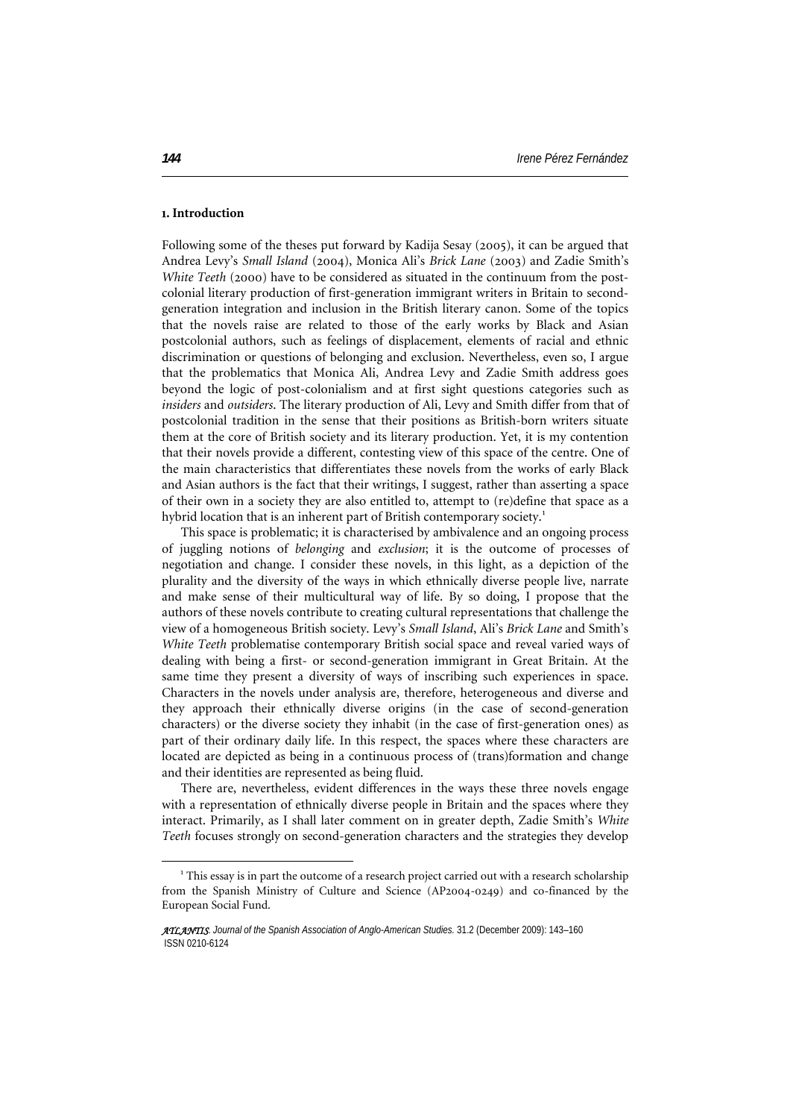### **1. Introduction**

Following some of the theses put forward by Kadija Sesay (2005), it can be argued that Andrea Levy's *Small Island* (2004), Monica Ali's *Brick Lane* (2003) and Zadie Smith's *White Teeth* (2000) have to be considered as situated in the continuum from the postcolonial literary production of first-generation immigrant writers in Britain to secondgeneration integration and inclusion in the British literary canon. Some of the topics that the novels raise are related to those of the early works by Black and Asian postcolonial authors, such as feelings of displacement, elements of racial and ethnic discrimination or questions of belonging and exclusion. Nevertheless, even so, I argue that the problematics that Monica Ali, Andrea Levy and Zadie Smith address goes beyond the logic of post-colonialism and at first sight questions categories such as *insiders* and *outsiders*. The literary production of Ali, Levy and Smith differ from that of postcolonial tradition in the sense that their positions as British-born writers situate them at the core of British society and its literary production. Yet, it is my contention that their novels provide a different, contesting view of this space of the centre. One of the main characteristics that differentiates these novels from the works of early Black and Asian authors is the fact that their writings, I suggest, rather than asserting a space of their own in a society they are also entitled to, attempt to (re)define that space as a hybrid location that is an inherent part of British contemporary society.<sup>[1](#page-1-0)</sup>

This space is problematic; it is characterised by ambivalence and an ongoing process of juggling notions of *belonging* and *exclusion*; it is the outcome of processes of negotiation and change. I consider these novels, in this light, as a depiction of the plurality and the diversity of the ways in which ethnically diverse people live, narrate and make sense of their multicultural way of life. By so doing, I propose that the authors of these novels contribute to creating cultural representations that challenge the view of a homogeneous British society. Levy's *Small Island*, Ali's *Brick Lane* and Smith's *White Teeth* problematise contemporary British social space and reveal varied ways of dealing with being a first- or second-generation immigrant in Great Britain. At the same time they present a diversity of ways of inscribing such experiences in space. Characters in the novels under analysis are, therefore, heterogeneous and diverse and they approach their ethnically diverse origins (in the case of second-generation characters) or the diverse society they inhabit (in the case of first-generation ones) as part of their ordinary daily life. In this respect, the spaces where these characters are located are depicted as being in a continuous process of (trans)formation and change and their identities are represented as being fluid.

There are, nevertheless, evident differences in the ways these three novels engage with a representation of ethnically diverse people in Britain and the spaces where they interact. Primarily, as I shall later comment on in greater depth, Zadie Smith's *White Teeth* focuses strongly on second-generation characters and the strategies they develop

 $\overline{a}$ 

<span id="page-1-0"></span> $^{\rm 1}$  This essay is in part the outcome of a research project carried out with a research scholarship from the Spanish Ministry of Culture and Science (AP2004-0249) and co-financed by the European Social Fund.

*ATLANTIS*. *Journal of the Spanish Association of Anglo-American Studies.* 31.2 (December 2009): 143–160 ISSN 0210-6124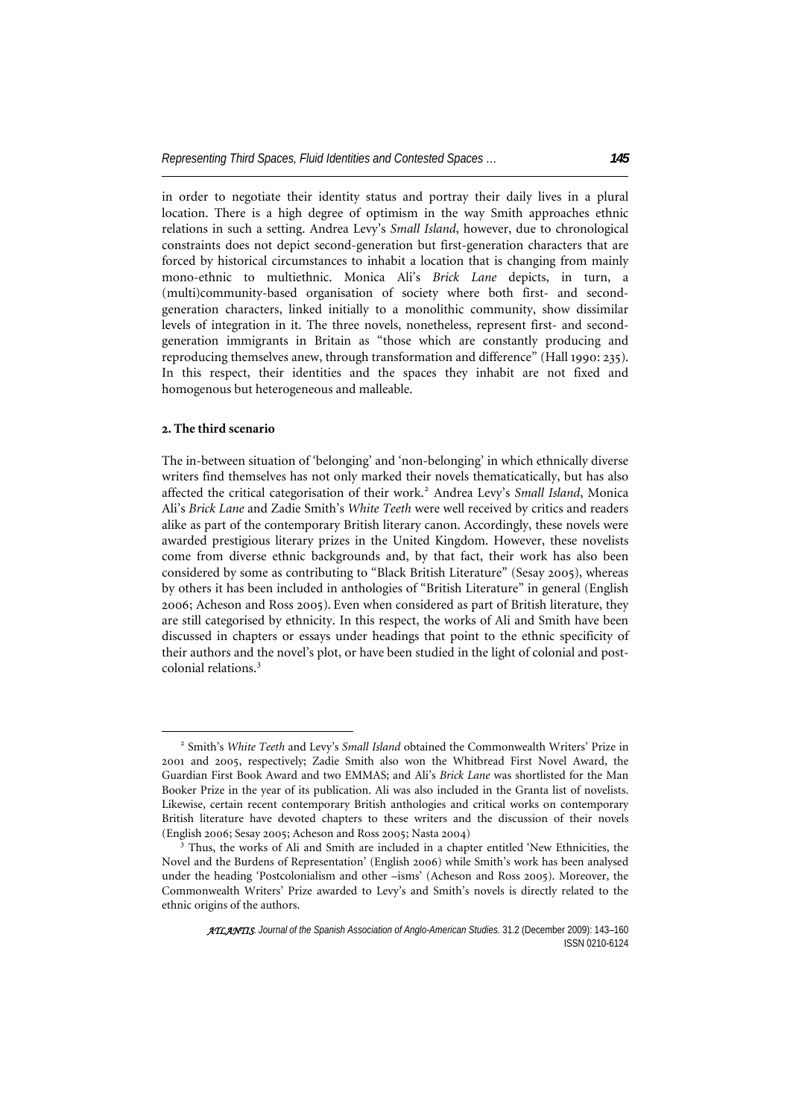in order to negotiate their identity status and portray their daily lives in a plural location. There is a high degree of optimism in the way Smith approaches ethnic relations in such a setting. Andrea Levy's *Small Island*, however, due to chronological constraints does not depict second-generation but first-generation characters that are forced by historical circumstances to inhabit a location that is changing from mainly mono-ethnic to multiethnic. Monica Ali's *Brick Lane* depicts, in turn, a (multi)community-based organisation of society where both first- and secondgeneration characters, linked initially to a monolithic community, show dissimilar levels of integration in it. The three novels, nonetheless, represent first- and secondgeneration immigrants in Britain as "those which are constantly producing and reproducing themselves anew, through transformation and difference" (Hall 1990: 235). In this respect, their identities and the spaces they inhabit are not fixed and homogenous but heterogeneous and malleable.

## **2. The third scenario**

 $\overline{a}$ 

The in-between situation of 'belonging' and 'non-belonging' in which ethnically diverse writers find themselves has not only marked their novels thematicatically, but has also affected the critical categorisation of their work.<sup>[2](#page-2-0)</sup> Andrea Levy's Small Island, Monica Ali's *Brick Lane* and Zadie Smith's *White Teeth* were well received by critics and readers alike as part of the contemporary British literary canon. Accordingly, these novels were awarded prestigious literary prizes in the United Kingdom. However, these novelists come from diverse ethnic backgrounds and, by that fact, their work has also been considered by some as contributing to "Black British Literature" (Sesay 2005), whereas by others it has been included in anthologies of "British Literature" in general (English 2006; Acheson and Ross 2005). Even when considered as part of British literature, they are still categorised by ethnicity. In this respect, the works of Ali and Smith have been discussed in chapters or essays under headings that point to the ethnic specificity of their authors and the novel's plot, or have been studied in the light of colonial and postcolonial relations.[3](#page-2-1)

<span id="page-2-0"></span><sup>2</sup> Smith's *White Teeth* and Levy's *Small Island* obtained the Commonwealth Writers' Prize in 2001 and 2005, respectively; Zadie Smith also won the Whitbread First Novel Award, the Guardian First Book Award and two EMMAS; and Ali's *Brick Lane* was shortlisted for the Man Booker Prize in the year of its publication. Ali was also included in the Granta list of novelists. Likewise, certain recent contemporary British anthologies and critical works on contemporary British literature have devoted chapters to these writers and the discussion of their novels (English 2006; Sesay 2005; Acheson and Ross 2005; Nasta 2004) 3

<span id="page-2-1"></span><sup>&</sup>lt;sup>3</sup> Thus, the works of Ali and Smith are included in a chapter entitled 'New Ethnicities, the Novel and the Burdens of Representation' (English 2006) while Smith's work has been analysed under the heading 'Postcolonialism and other –isms' (Acheson and Ross 2005). Moreover, the Commonwealth Writers' Prize awarded to Levy's and Smith's novels is directly related to the ethnic origins of the authors.

*ATLANTIS*. *Journal of the Spanish Association of Anglo-American Studies.* 31.2 (December 2009): 143–160 ISSN 0210-6124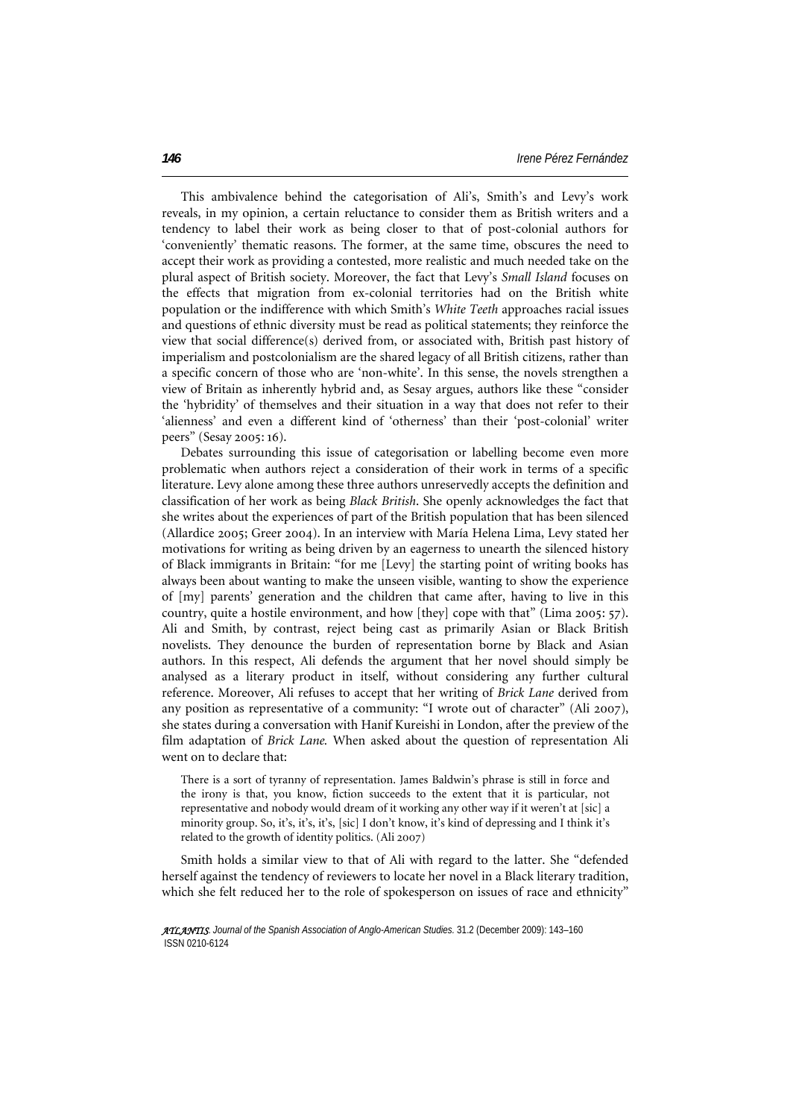This ambivalence behind the categorisation of Ali's, Smith's and Levy's work reveals, in my opinion, a certain reluctance to consider them as British writers and a tendency to label their work as being closer to that of post-colonial authors for 'conveniently' thematic reasons. The former, at the same time, obscures the need to accept their work as providing a contested, more realistic and much needed take on the plural aspect of British society. Moreover, the fact that Levy's *Small Island* focuses on the effects that migration from ex-colonial territories had on the British white population or the indifference with which Smith's *White Teeth* approaches racial issues and questions of ethnic diversity must be read as political statements; they reinforce the view that social difference(s) derived from, or associated with, British past history of imperialism and postcolonialism are the shared legacy of all British citizens, rather than a specific concern of those who are 'non-white'. In this sense, the novels strengthen a view of Britain as inherently hybrid and, as Sesay argues, authors like these "consider the 'hybridity' of themselves and their situation in a way that does not refer to their 'alienness' and even a different kind of 'otherness' than their 'post-colonial' writer peers" (Sesay 2005: 16).

Debates surrounding this issue of categorisation or labelling become even more problematic when authors reject a consideration of their work in terms of a specific literature. Levy alone among these three authors unreservedly accepts the definition and classification of her work as being *Black British*. She openly acknowledges the fact that she writes about the experiences of part of the British population that has been silenced (Allardice 2005; Greer 2004). In an interview with María Helena Lima, Levy stated her motivations for writing as being driven by an eagerness to unearth the silenced history of Black immigrants in Britain: "for me [Levy] the starting point of writing books has always been about wanting to make the unseen visible, wanting to show the experience of [my] parents' generation and the children that came after, having to live in this country, quite a hostile environment, and how [they] cope with that" (Lima 2005: 57). Ali and Smith, by contrast, reject being cast as primarily Asian or Black British novelists. They denounce the burden of representation borne by Black and Asian authors. In this respect, Ali defends the argument that her novel should simply be analysed as a literary product in itself, without considering any further cultural reference. Moreover, Ali refuses to accept that her writing of *Brick Lane* derived from any position as representative of a community: "I wrote out of character" (Ali 2007), she states during a conversation with Hanif Kureishi in London, after the preview of the film adaptation of *Brick Lane.* When asked about the question of representation Ali went on to declare that:

There is a sort of tyranny of representation. James Baldwin's phrase is still in force and the irony is that, you know, fiction succeeds to the extent that it is particular, not representative and nobody would dream of it working any other way if it weren't at [sic] a minority group. So, it's, it's, it's, [sic] I don't know, it's kind of depressing and I think it's related to the growth of identity politics. (Ali 2007)

Smith holds a similar view to that of Ali with regard to the latter. She "defended herself against the tendency of reviewers to locate her novel in a Black literary tradition, which she felt reduced her to the role of spokesperson on issues of race and ethnicity"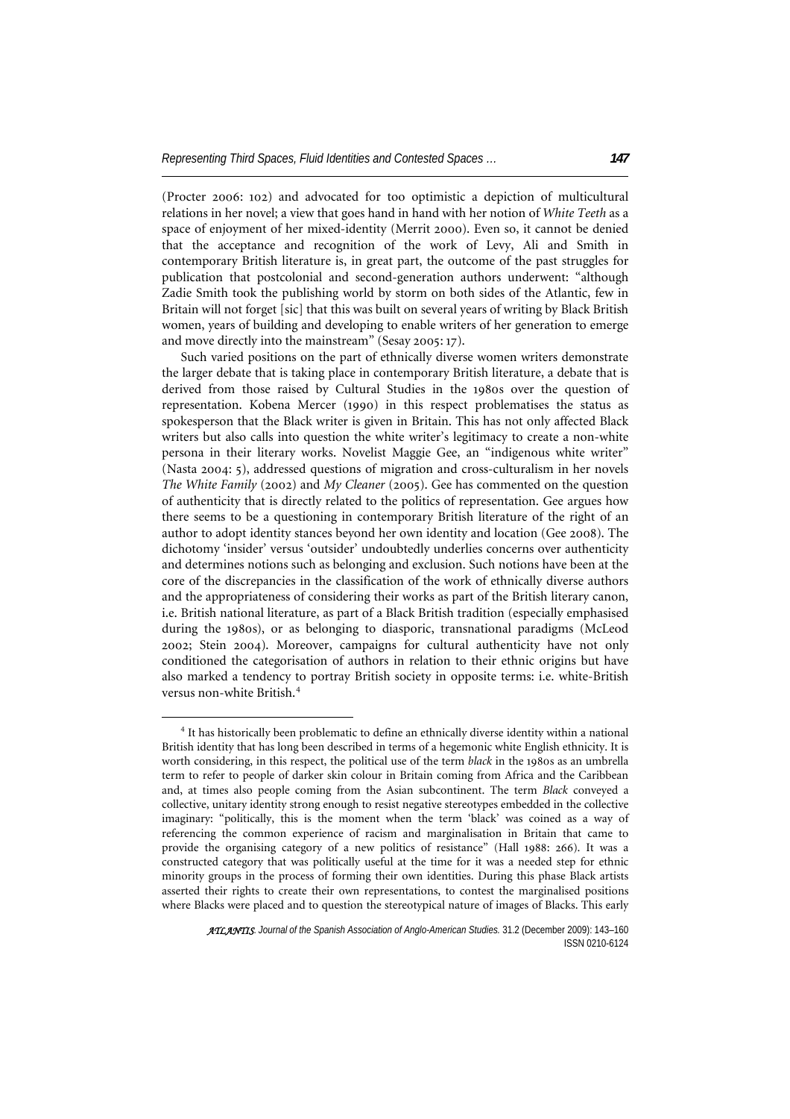(Procter 2006: 102) and advocated for too optimistic a depiction of multicultural relations in her novel; a view that goes hand in hand with her notion of *White Teeth* as a space of enjoyment of her mixed-identity (Merrit 2000). Even so, it cannot be denied that the acceptance and recognition of the work of Levy, Ali and Smith in contemporary British literature is, in great part, the outcome of the past struggles for publication that postcolonial and second-generation authors underwent: "although Zadie Smith took the publishing world by storm on both sides of the Atlantic, few in Britain will not forget [sic] that this was built on several years of writing by Black British women, years of building and developing to enable writers of her generation to emerge and move directly into the mainstream" (Sesay 2005: 17).

Such varied positions on the part of ethnically diverse women writers demonstrate the larger debate that is taking place in contemporary British literature, a debate that is derived from those raised by Cultural Studies in the 1980s over the question of representation. Kobena Mercer (1990) in this respect problematises the status as spokesperson that the Black writer is given in Britain. This has not only affected Black writers but also calls into question the white writer's legitimacy to create a non-white persona in their literary works. Novelist Maggie Gee, an "indigenous white writer" (Nasta 2004: 5), addressed questions of migration and cross-culturalism in her novels *The White Family* (2002) and *My Cleaner* (2005). Gee has commented on the question of authenticity that is directly related to the politics of representation. Gee argues how there seems to be a questioning in contemporary British literature of the right of an author to adopt identity stances beyond her own identity and location (Gee 2008). The dichotomy 'insider' versus 'outsider' undoubtedly underlies concerns over authenticity and determines notions such as belonging and exclusion. Such notions have been at the core of the discrepancies in the classification of the work of ethnically diverse authors and the appropriateness of considering their works as part of the British literary canon, i.e. British national literature, as part of a Black British tradition (especially emphasised during the 1980s), or as belonging to diasporic, transnational paradigms (McLeod 2002; Stein 2004). Moreover, campaigns for cultural authenticity have not only conditioned the categorisation of authors in relation to their ethnic origins but have also marked a tendency to portray British society in opposite terms: i.e. white-British versus non-white British.[4](#page-4-0)

 $\overline{a}$ 

<span id="page-4-0"></span><sup>&</sup>lt;sup>4</sup> It has historically been problematic to define an ethnically diverse identity within a national British identity that has long been described in terms of a hegemonic white English ethnicity. It is worth considering, in this respect, the political use of the term *black* in the 1980s as an umbrella term to refer to people of darker skin colour in Britain coming from Africa and the Caribbean and, at times also people coming from the Asian subcontinent. The term *Black* conveyed a collective, unitary identity strong enough to resist negative stereotypes embedded in the collective imaginary: "politically, this is the moment when the term 'black' was coined as a way of referencing the common experience of racism and marginalisation in Britain that came to provide the organising category of a new politics of resistance" (Hall 1988: 266). It was a constructed category that was politically useful at the time for it was a needed step for ethnic minority groups in the process of forming their own identities. During this phase Black artists asserted their rights to create their own representations, to contest the marginalised positions where Blacks were placed and to question the stereotypical nature of images of Blacks. This early

*ATLANTIS*. *Journal of the Spanish Association of Anglo-American Studies.* 31.2 (December 2009): 143–160 ISSN 0210-6124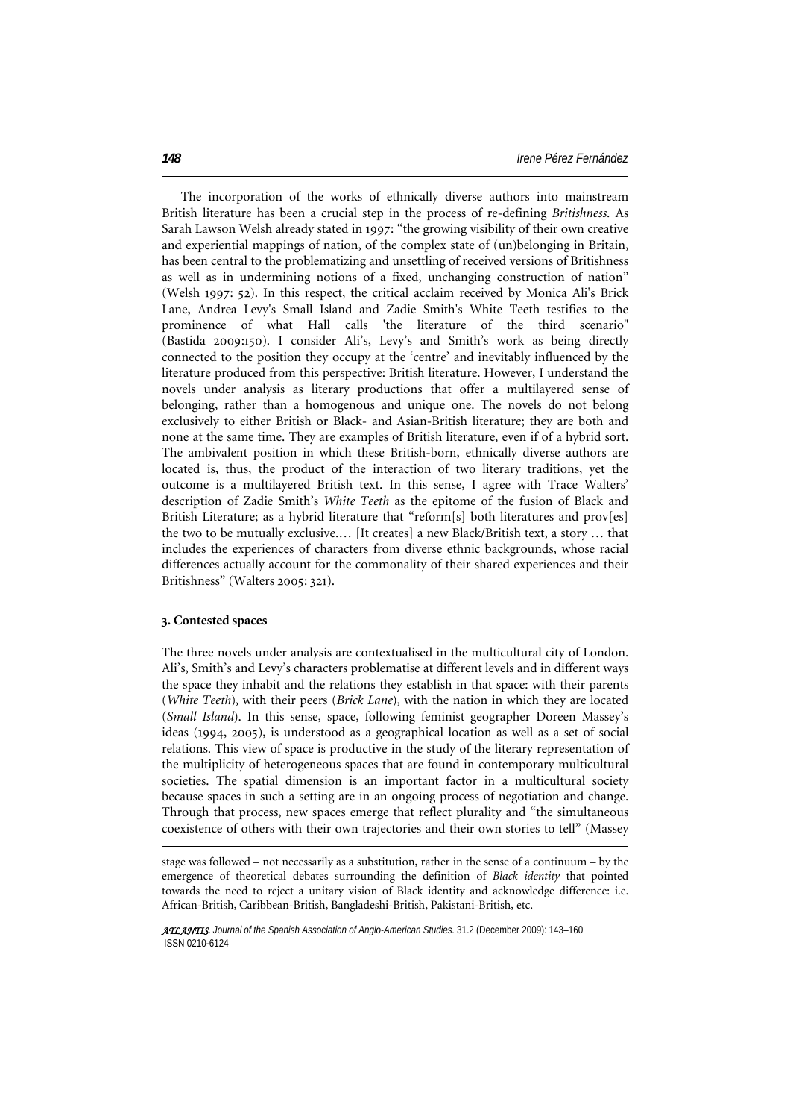The incorporation of the works of ethnically diverse authors into mainstream British literature has been a crucial step in the process of re-defining *Britishness*. As Sarah Lawson Welsh already stated in 1997: "the growing visibility of their own creative and experiential mappings of nation, of the complex state of (un)belonging in Britain, has been central to the problematizing and unsettling of received versions of Britishness as well as in undermining notions of a fixed, unchanging construction of nation" (Welsh 1997: 52). In this respect, the critical acclaim received by Monica Ali's Brick Lane, Andrea Levy's Small Island and Zadie Smith's White Teeth testifies to the prominence of what Hall calls 'the literature of the third scenario" (Bastida 2009:150). I consider Ali's, Levy's and Smith's work as being directly connected to the position they occupy at the 'centre' and inevitably influenced by the literature produced from this perspective: British literature. However, I understand the novels under analysis as literary productions that offer a multilayered sense of belonging, rather than a homogenous and unique one. The novels do not belong exclusively to either British or Black- and Asian-British literature; they are both and none at the same time. They are examples of British literature, even if of a hybrid sort. The ambivalent position in which these British-born, ethnically diverse authors are located is, thus, the product of the interaction of two literary traditions, yet the outcome is a multilayered British text. In this sense, I agree with Trace Walters' description of Zadie Smith's *White Teeth* as the epitome of the fusion of Black and British Literature; as a hybrid literature that "reform[s] both literatures and prov[es] the two to be mutually exclusive.… [It creates] a new Black/British text, a story … that includes the experiences of characters from diverse ethnic backgrounds, whose racial differences actually account for the commonality of their shared experiences and their Britishness" (Walters 2005: 321).

#### **3. Contested spaces**

 $\overline{a}$ 

The three novels under analysis are contextualised in the multicultural city of London. Ali's, Smith's and Levy's characters problematise at different levels and in different ways the space they inhabit and the relations they establish in that space: with their parents (*White Teeth*), with their peers (*Brick Lane*), with the nation in which they are located (*Small Island*). In this sense, space, following feminist geographer Doreen Massey's ideas (1994, 2005), is understood as a geographical location as well as a set of social relations. This view of space is productive in the study of the literary representation of the multiplicity of heterogeneous spaces that are found in contemporary multicultural societies. The spatial dimension is an important factor in a multicultural society because spaces in such a setting are in an ongoing process of negotiation and change. Through that process, new spaces emerge that reflect plurality and "the simultaneous coexistence of others with their own trajectories and their own stories to tell" (Massey

stage was followed – not necessarily as a substitution, rather in the sense of a continuum – by the emergence of theoretical debates surrounding the definition of *Black identity* that pointed towards the need to reject a unitary vision of Black identity and acknowledge difference: i.e. African-British, Caribbean-British, Bangladeshi-British, Pakistani-British, etc.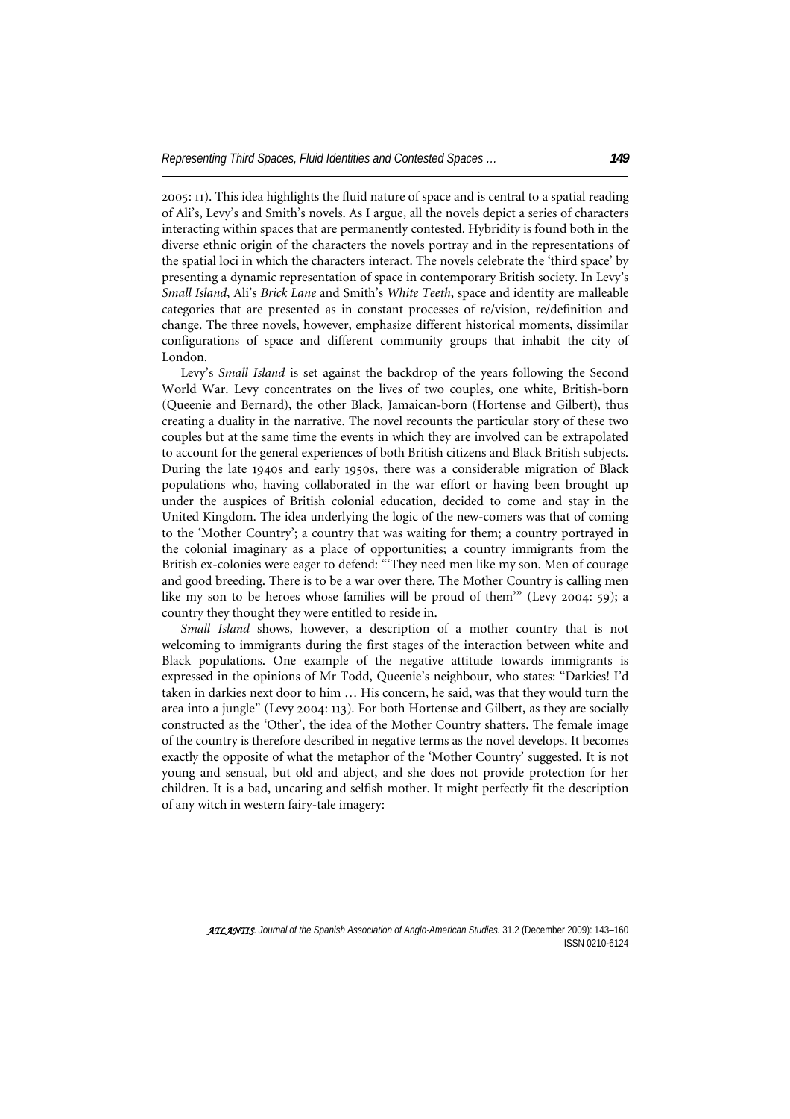2005: 11). This idea highlights the fluid nature of space and is central to a spatial reading of Ali's, Levy's and Smith's novels. As I argue, all the novels depict a series of characters interacting within spaces that are permanently contested. Hybridity is found both in the diverse ethnic origin of the characters the novels portray and in the representations of the spatial loci in which the characters interact. The novels celebrate the 'third space' by presenting a dynamic representation of space in contemporary British society. In Levy's *Small Island*, Ali's *Brick Lane* and Smith's *White Teeth*, space and identity are malleable categories that are presented as in constant processes of re/vision, re/definition and change. The three novels, however, emphasize different historical moments, dissimilar configurations of space and different community groups that inhabit the city of London.

Levy's *Small Island* is set against the backdrop of the years following the Second World War. Levy concentrates on the lives of two couples, one white, British-born (Queenie and Bernard), the other Black, Jamaican-born (Hortense and Gilbert), thus creating a duality in the narrative. The novel recounts the particular story of these two couples but at the same time the events in which they are involved can be extrapolated to account for the general experiences of both British citizens and Black British subjects. During the late 1940s and early 1950s, there was a considerable migration of Black populations who, having collaborated in the war effort or having been brought up under the auspices of British colonial education, decided to come and stay in the United Kingdom. The idea underlying the logic of the new-comers was that of coming to the 'Mother Country'; a country that was waiting for them; a country portrayed in the colonial imaginary as a place of opportunities; a country immigrants from the British ex-colonies were eager to defend: "'They need men like my son. Men of courage and good breeding. There is to be a war over there. The Mother Country is calling men like my son to be heroes whose families will be proud of them'" (Levy 2004: 59); a country they thought they were entitled to reside in.

*Small Island* shows, however, a description of a mother country that is not welcoming to immigrants during the first stages of the interaction between white and Black populations. One example of the negative attitude towards immigrants is expressed in the opinions of Mr Todd, Queenie's neighbour, who states: "Darkies! I'd taken in darkies next door to him … His concern, he said, was that they would turn the area into a jungle" (Levy 2004: 113). For both Hortense and Gilbert, as they are socially constructed as the 'Other', the idea of the Mother Country shatters. The female image of the country is therefore described in negative terms as the novel develops. It becomes exactly the opposite of what the metaphor of the 'Mother Country' suggested. It is not young and sensual, but old and abject, and she does not provide protection for her children. It is a bad, uncaring and selfish mother. It might perfectly fit the description of any witch in western fairy-tale imagery: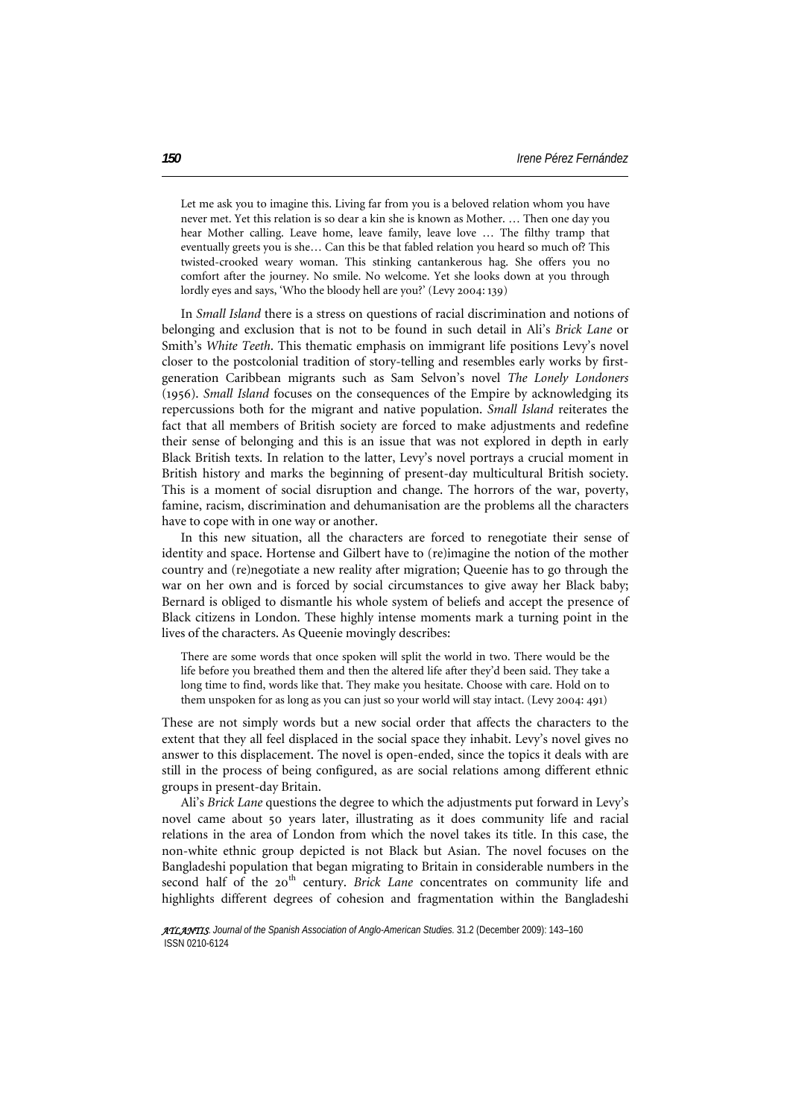Let me ask you to imagine this. Living far from you is a beloved relation whom you have never met. Yet this relation is so dear a kin she is known as Mother. … Then one day you hear Mother calling. Leave home, leave family, leave love … The filthy tramp that eventually greets you is she… Can this be that fabled relation you heard so much of? This twisted-crooked weary woman. This stinking cantankerous hag. She offers you no comfort after the journey. No smile. No welcome. Yet she looks down at you through lordly eyes and says, 'Who the bloody hell are you?' (Levy 2004: 139)

In *Small Island* there is a stress on questions of racial discrimination and notions of belonging and exclusion that is not to be found in such detail in Ali's *Brick Lane* or Smith's *White Teeth*. This thematic emphasis on immigrant life positions Levy's novel closer to the postcolonial tradition of story-telling and resembles early works by firstgeneration Caribbean migrants such as Sam Selvon's novel *The Lonely Londoners* (1956). *Small Island* focuses on the consequences of the Empire by acknowledging its repercussions both for the migrant and native population. *Small Island* reiterates the fact that all members of British society are forced to make adjustments and redefine their sense of belonging and this is an issue that was not explored in depth in early Black British texts. In relation to the latter, Levy's novel portrays a crucial moment in British history and marks the beginning of present-day multicultural British society. This is a moment of social disruption and change. The horrors of the war, poverty, famine, racism, discrimination and dehumanisation are the problems all the characters have to cope with in one way or another.

In this new situation, all the characters are forced to renegotiate their sense of identity and space. Hortense and Gilbert have to (re)imagine the notion of the mother country and (re)negotiate a new reality after migration; Queenie has to go through the war on her own and is forced by social circumstances to give away her Black baby; Bernard is obliged to dismantle his whole system of beliefs and accept the presence of Black citizens in London. These highly intense moments mark a turning point in the lives of the characters. As Queenie movingly describes:

There are some words that once spoken will split the world in two. There would be the life before you breathed them and then the altered life after they'd been said. They take a long time to find, words like that. They make you hesitate. Choose with care. Hold on to them unspoken for as long as you can just so your world will stay intact. (Levy 2004: 491)

These are not simply words but a new social order that affects the characters to the extent that they all feel displaced in the social space they inhabit. Levy's novel gives no answer to this displacement. The novel is open-ended, since the topics it deals with are still in the process of being configured, as are social relations among different ethnic groups in present-day Britain.

Ali's *Brick Lane* questions the degree to which the adjustments put forward in Levy's novel came about 50 years later, illustrating as it does community life and racial relations in the area of London from which the novel takes its title. In this case, the non-white ethnic group depicted is not Black but Asian. The novel focuses on the Bangladeshi population that began migrating to Britain in considerable numbers in the second half of the 20<sup>th</sup> century. *Brick Lane* concentrates on community life and highlights different degrees of cohesion and fragmentation within the Bangladeshi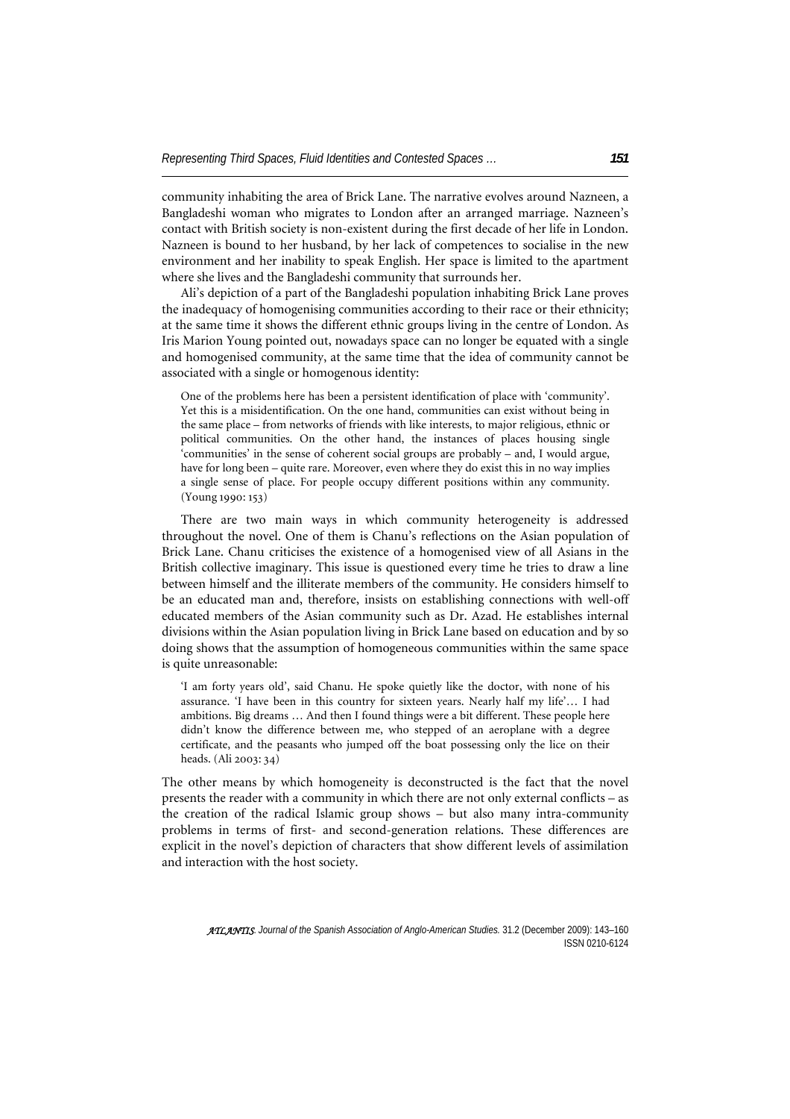community inhabiting the area of Brick Lane. The narrative evolves around Nazneen, a Bangladeshi woman who migrates to London after an arranged marriage. Nazneen's contact with British society is non-existent during the first decade of her life in London. Nazneen is bound to her husband, by her lack of competences to socialise in the new environment and her inability to speak English. Her space is limited to the apartment where she lives and the Bangladeshi community that surrounds her.

Ali's depiction of a part of the Bangladeshi population inhabiting Brick Lane proves the inadequacy of homogenising communities according to their race or their ethnicity; at the same time it shows the different ethnic groups living in the centre of London. As Iris Marion Young pointed out, nowadays space can no longer be equated with a single and homogenised community, at the same time that the idea of community cannot be associated with a single or homogenous identity:

One of the problems here has been a persistent identification of place with 'community'. Yet this is a misidentification. On the one hand, communities can exist without being in the same place – from networks of friends with like interests, to major religious, ethnic or political communities. On the other hand, the instances of places housing single 'communities' in the sense of coherent social groups are probably – and, I would argue, have for long been – quite rare. Moreover, even where they do exist this in no way implies a single sense of place. For people occupy different positions within any community. (Young 1990: 153)

There are two main ways in which community heterogeneity is addressed throughout the novel. One of them is Chanu's reflections on the Asian population of Brick Lane. Chanu criticises the existence of a homogenised view of all Asians in the British collective imaginary. This issue is questioned every time he tries to draw a line between himself and the illiterate members of the community. He considers himself to be an educated man and, therefore, insists on establishing connections with well-off educated members of the Asian community such as Dr. Azad. He establishes internal divisions within the Asian population living in Brick Lane based on education and by so doing shows that the assumption of homogeneous communities within the same space is quite unreasonable:

'I am forty years old', said Chanu. He spoke quietly like the doctor, with none of his assurance. 'I have been in this country for sixteen years. Nearly half my life'… I had ambitions. Big dreams … And then I found things were a bit different. These people here didn't know the difference between me, who stepped of an aeroplane with a degree certificate, and the peasants who jumped off the boat possessing only the lice on their heads. (Ali 2003: 34)

The other means by which homogeneity is deconstructed is the fact that the novel presents the reader with a community in which there are not only external conflicts – as the creation of the radical Islamic group shows – but also many intra-community problems in terms of first- and second-generation relations. These differences are explicit in the novel's depiction of characters that show different levels of assimilation and interaction with the host society.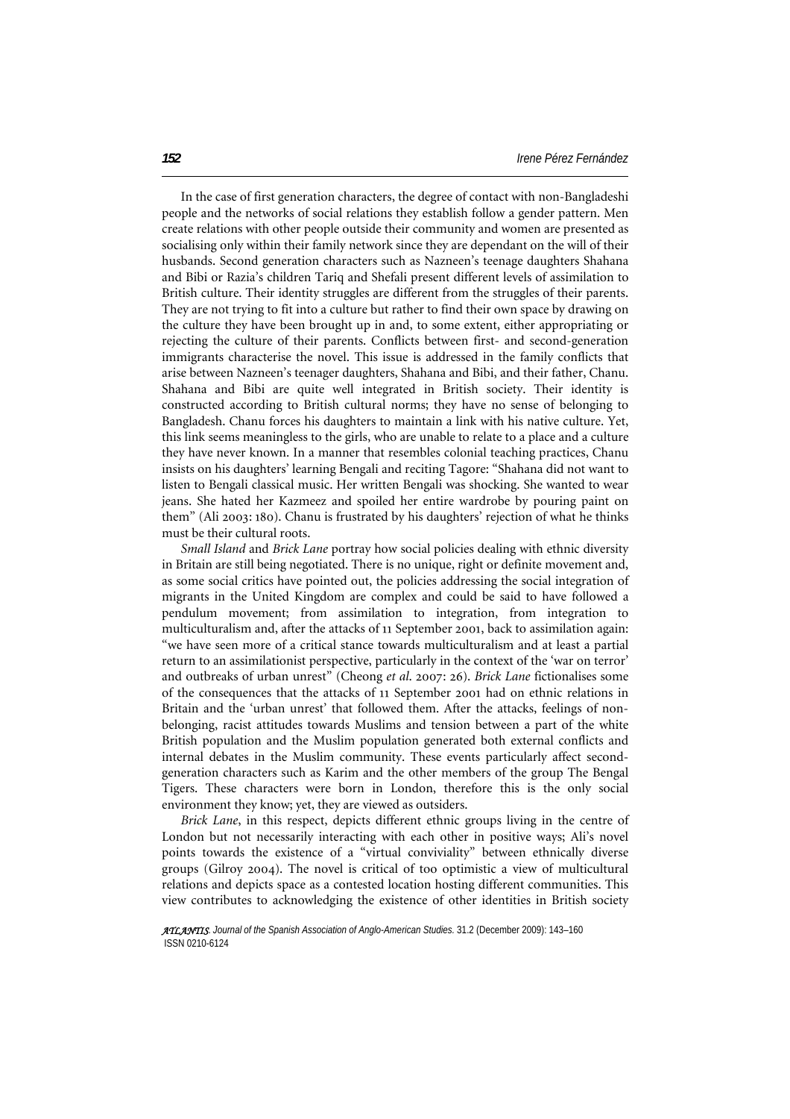In the case of first generation characters, the degree of contact with non-Bangladeshi people and the networks of social relations they establish follow a gender pattern. Men create relations with other people outside their community and women are presented as socialising only within their family network since they are dependant on the will of their husbands. Second generation characters such as Nazneen's teenage daughters Shahana and Bibi or Razia's children Tariq and Shefali present different levels of assimilation to British culture. Their identity struggles are different from the struggles of their parents. They are not trying to fit into a culture but rather to find their own space by drawing on the culture they have been brought up in and, to some extent, either appropriating or rejecting the culture of their parents. Conflicts between first- and second-generation immigrants characterise the novel. This issue is addressed in the family conflicts that arise between Nazneen's teenager daughters, Shahana and Bibi, and their father, Chanu. Shahana and Bibi are quite well integrated in British society. Their identity is constructed according to British cultural norms; they have no sense of belonging to Bangladesh. Chanu forces his daughters to maintain a link with his native culture. Yet, this link seems meaningless to the girls, who are unable to relate to a place and a culture they have never known. In a manner that resembles colonial teaching practices, Chanu insists on his daughters' learning Bengali and reciting Tagore: "Shahana did not want to listen to Bengali classical music. Her written Bengali was shocking. She wanted to wear jeans. She hated her Kazmeez and spoiled her entire wardrobe by pouring paint on them" (Ali 2003: 180). Chanu is frustrated by his daughters' rejection of what he thinks must be their cultural roots.

*Small Island* and *Brick Lane* portray how social policies dealing with ethnic diversity in Britain are still being negotiated. There is no unique, right or definite movement and, as some social critics have pointed out, the policies addressing the social integration of migrants in the United Kingdom are complex and could be said to have followed a pendulum movement; from assimilation to integration, from integration to multiculturalism and, after the attacks of 11 September 2001, back to assimilation again: "we have seen more of a critical stance towards multiculturalism and at least a partial return to an assimilationist perspective, particularly in the context of the 'war on terror' and outbreaks of urban unrest" (Cheong *et al*. 2007: 26). *Brick Lane* fictionalises some of the consequences that the attacks of 11 September 2001 had on ethnic relations in Britain and the 'urban unrest' that followed them. After the attacks, feelings of nonbelonging, racist attitudes towards Muslims and tension between a part of the white British population and the Muslim population generated both external conflicts and internal debates in the Muslim community. These events particularly affect secondgeneration characters such as Karim and the other members of the group The Bengal Tigers. These characters were born in London, therefore this is the only social environment they know; yet, they are viewed as outsiders.

*Brick Lane*, in this respect, depicts different ethnic groups living in the centre of London but not necessarily interacting with each other in positive ways; Ali's novel points towards the existence of a "virtual conviviality" between ethnically diverse groups (Gilroy 2004). The novel is critical of too optimistic a view of multicultural relations and depicts space as a contested location hosting different communities. This view contributes to acknowledging the existence of other identities in British society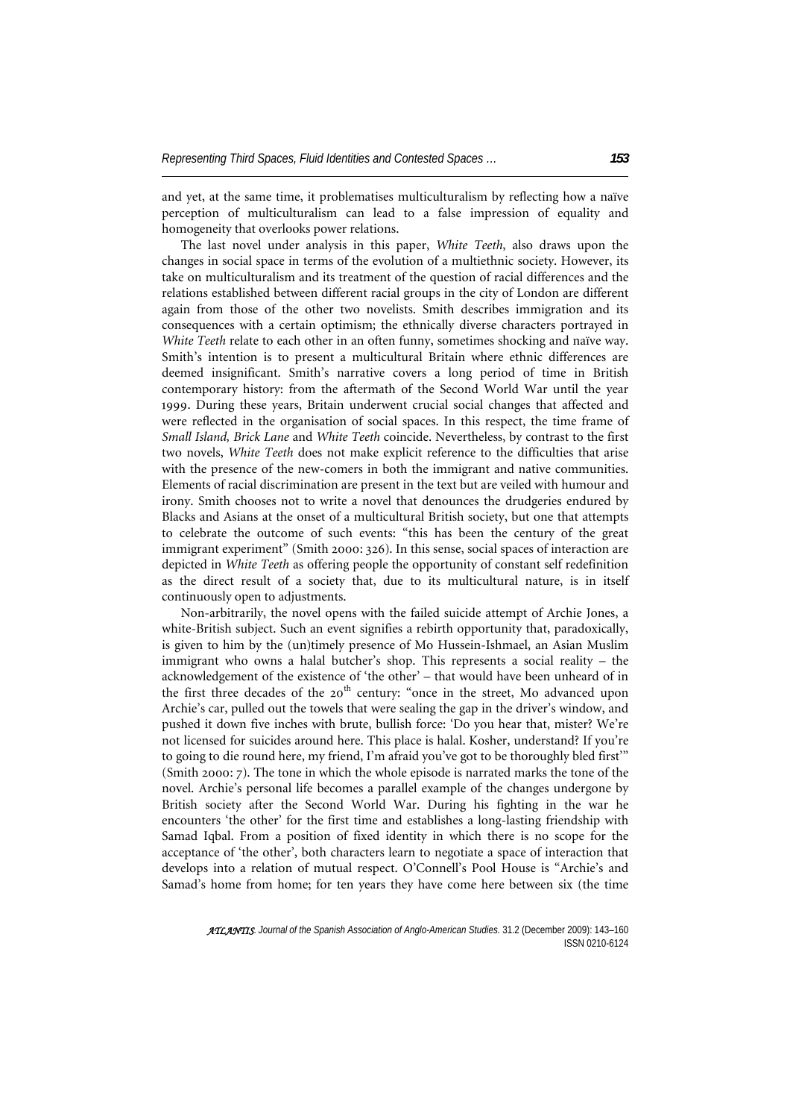and yet, at the same time, it problematises multiculturalism by reflecting how a naïve perception of multiculturalism can lead to a false impression of equality and homogeneity that overlooks power relations.

The last novel under analysis in this paper, *White Teeth*, also draws upon the changes in social space in terms of the evolution of a multiethnic society. However, its take on multiculturalism and its treatment of the question of racial differences and the relations established between different racial groups in the city of London are different again from those of the other two novelists. Smith describes immigration and its consequences with a certain optimism; the ethnically diverse characters portrayed in *White Teeth* relate to each other in an often funny, sometimes shocking and naïve way. Smith's intention is to present a multicultural Britain where ethnic differences are deemed insignificant. Smith's narrative covers a long period of time in British contemporary history: from the aftermath of the Second World War until the year 1999. During these years, Britain underwent crucial social changes that affected and were reflected in the organisation of social spaces. In this respect, the time frame of *Small Island, Brick Lane* and *White Teeth* coincide. Nevertheless, by contrast to the first two novels, *White Teeth* does not make explicit reference to the difficulties that arise with the presence of the new-comers in both the immigrant and native communities. Elements of racial discrimination are present in the text but are veiled with humour and irony. Smith chooses not to write a novel that denounces the drudgeries endured by Blacks and Asians at the onset of a multicultural British society, but one that attempts to celebrate the outcome of such events: "this has been the century of the great immigrant experiment" (Smith 2000: 326). In this sense, social spaces of interaction are depicted in *White Teeth* as offering people the opportunity of constant self redefinition as the direct result of a society that, due to its multicultural nature, is in itself continuously open to adjustments.

Non-arbitrarily, the novel opens with the failed suicide attempt of Archie Jones, a white-British subject. Such an event signifies a rebirth opportunity that, paradoxically, is given to him by the (un)timely presence of Mo Hussein-Ishmael, an Asian Muslim immigrant who owns a halal butcher's shop. This represents a social reality – the acknowledgement of the existence of 'the other' – that would have been unheard of in the first three decades of the  $20<sup>th</sup>$  century: "once in the street, Mo advanced upon Archie's car, pulled out the towels that were sealing the gap in the driver's window, and pushed it down five inches with brute, bullish force: 'Do you hear that, mister? We're not licensed for suicides around here. This place is halal. Kosher, understand? If you're to going to die round here, my friend, I'm afraid you've got to be thoroughly bled first'" (Smith 2000: 7). The tone in which the whole episode is narrated marks the tone of the novel. Archie's personal life becomes a parallel example of the changes undergone by British society after the Second World War. During his fighting in the war he encounters 'the other' for the first time and establishes a long-lasting friendship with Samad Iqbal. From a position of fixed identity in which there is no scope for the acceptance of 'the other', both characters learn to negotiate a space of interaction that develops into a relation of mutual respect. O'Connell's Pool House is "Archie's and Samad's home from home; for ten years they have come here between six (the time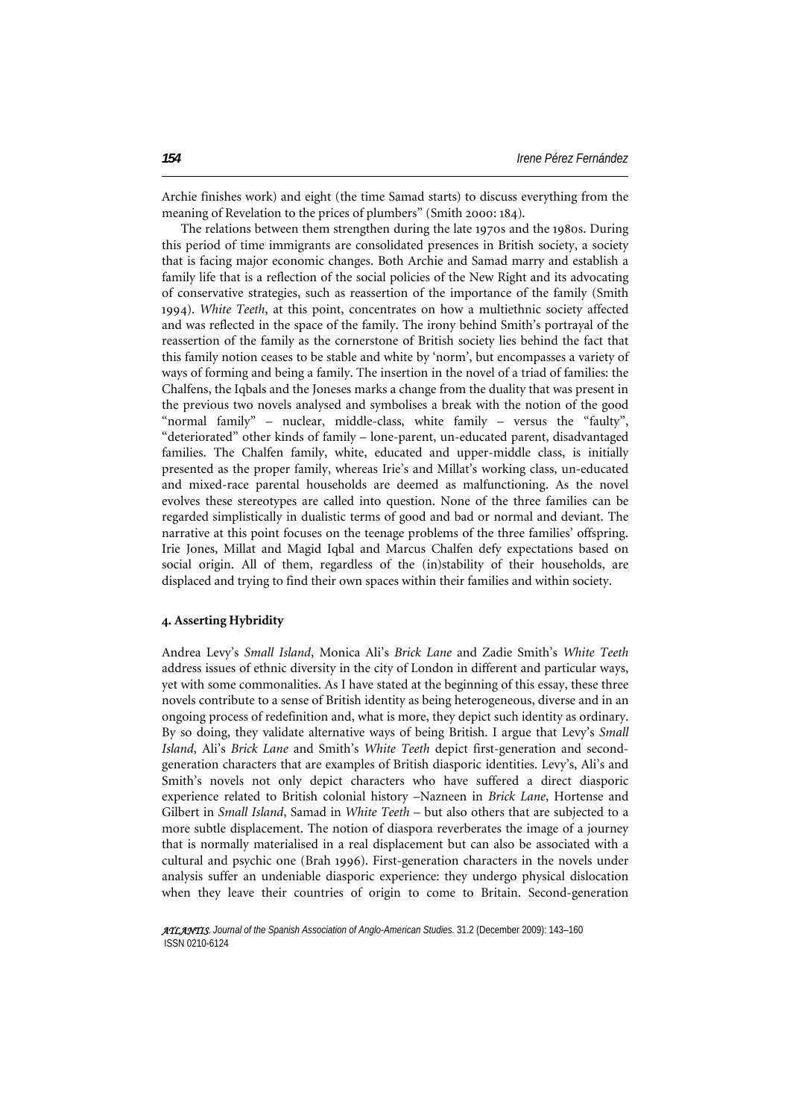Archie finishes work) and eight (the time Samad starts) to discuss everything from the meaning of Revelation to the prices of plumbers" (Smith 2000: 184).

The relations between them strengthen during the late 1970s and the 1980s. During this period of time immigrants are consolidated presences in British society, a society that is facing major economic changes. Both Archie and Samad marry and establish a family life that is a reflection of the social policies of the New Right and its advocating of conservative strategies, such as reassertion of the importance of the family (Smith 1994). *White Teeth*, at this point, concentrates on how a multiethnic society affected and was reflected in the space of the family. The irony behind Smith's portrayal of the reassertion of the family as the cornerstone of British society lies behind the fact that this family notion ceases to be stable and white by 'norm', but encompasses a variety of ways of forming and being a family. The insertion in the novel of a triad of families: the Chalfens, the Iqbals and the Joneses marks a change from the duality that was present in the previous two novels analysed and symbolises a break with the notion of the good "normal family" – nuclear, middle-class, white family – versus the "faulty", "deteriorated" other kinds of family – lone-parent, un-educated parent, disadvantaged families. The Chalfen family, white, educated and upper-middle class, is initially presented as the proper family, whereas Irie's and Millat's working class, un-educated and mixed-race parental households are deemed as malfunctioning. As the novel evolves these stereotypes are called into question. None of the three families can be regarded simplistically in dualistic terms of good and bad or normal and deviant. The narrative at this point focuses on the teenage problems of the three families' offspring. Irie Jones, Millat and Magid Iqbal and Marcus Chalfen defy expectations based on social origin. All of them, regardless of the (in)stability of their households, are displaced and trying to find their own spaces within their families and within society.

#### **4. Asserting Hybridity**

Andrea Levy's *Small Island*, Monica Ali's *Brick Lane* and Zadie Smith's *White Teeth*  address issues of ethnic diversity in the city of London in different and particular ways, yet with some commonalities. As I have stated at the beginning of this essay, these three novels contribute to a sense of British identity as being heterogeneous, diverse and in an ongoing process of redefinition and, what is more, they depict such identity as ordinary. By so doing, they validate alternative ways of being British. I argue that Levy's *Small Island*, Ali's *Brick Lane* and Smith's *White Teeth* depict first-generation and secondgeneration characters that are examples of British diasporic identities. Levy's, Ali's and Smith's novels not only depict characters who have suffered a direct diasporic experience related to British colonial history –Nazneen in *Brick Lane*, Hortense and Gilbert in *Small Island*, Samad in *White Teeth* – but also others that are subjected to a more subtle displacement. The notion of diaspora reverberates the image of a journey that is normally materialised in a real displacement but can also be associated with a cultural and psychic one (Brah 1996). First-generation characters in the novels under analysis suffer an undeniable diasporic experience: they undergo physical dislocation when they leave their countries of origin to come to Britain. Second-generation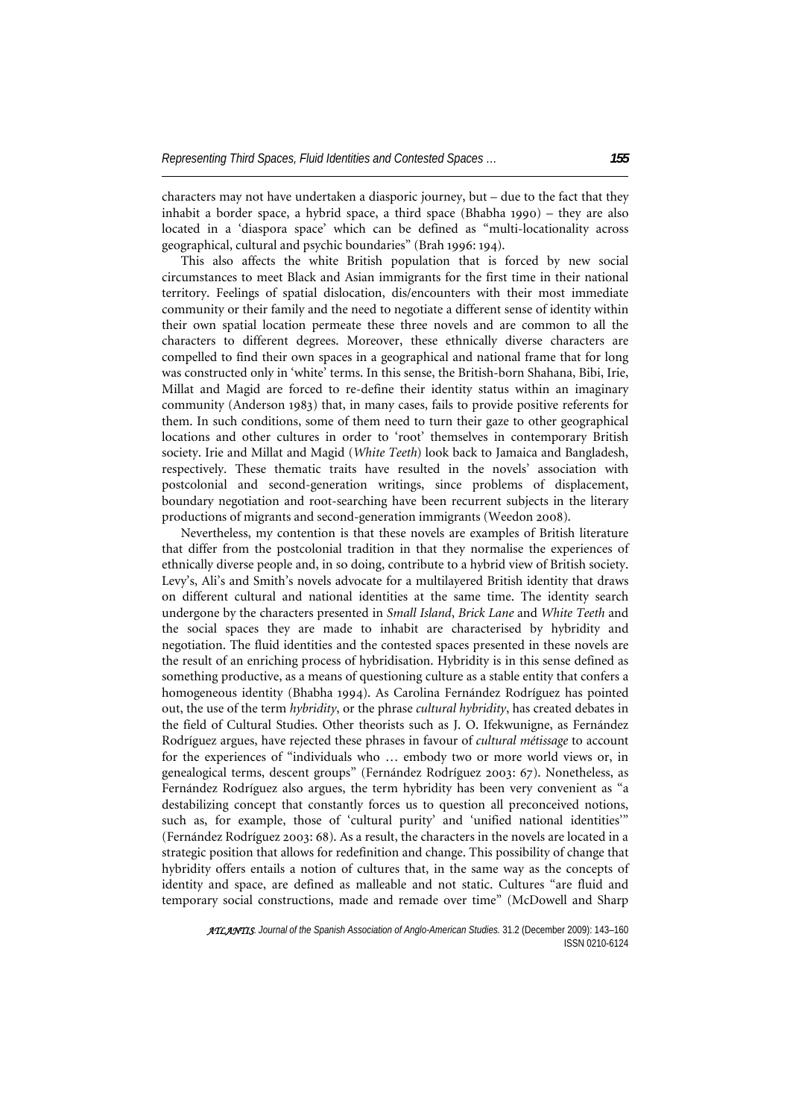characters may not have undertaken a diasporic journey, but – due to the fact that they inhabit a border space, a hybrid space, a third space (Bhabha 1990) – they are also located in a 'diaspora space' which can be defined as "multi-locationality across geographical, cultural and psychic boundaries" (Brah 1996: 194).

This also affects the white British population that is forced by new social circumstances to meet Black and Asian immigrants for the first time in their national territory. Feelings of spatial dislocation, dis/encounters with their most immediate community or their family and the need to negotiate a different sense of identity within their own spatial location permeate these three novels and are common to all the characters to different degrees. Moreover, these ethnically diverse characters are compelled to find their own spaces in a geographical and national frame that for long was constructed only in 'white' terms. In this sense, the British-born Shahana, Bibi, Irie, Millat and Magid are forced to re-define their identity status within an imaginary community (Anderson 1983) that, in many cases, fails to provide positive referents for them. In such conditions, some of them need to turn their gaze to other geographical locations and other cultures in order to 'root' themselves in contemporary British society. Irie and Millat and Magid (*White Teeth*) look back to Jamaica and Bangladesh, respectively. These thematic traits have resulted in the novels' association with postcolonial and second-generation writings, since problems of displacement, boundary negotiation and root-searching have been recurrent subjects in the literary productions of migrants and second-generation immigrants (Weedon 2008).

Nevertheless, my contention is that these novels are examples of British literature that differ from the postcolonial tradition in that they normalise the experiences of ethnically diverse people and, in so doing, contribute to a hybrid view of British society. Levy's, Ali's and Smith's novels advocate for a multilayered British identity that draws on different cultural and national identities at the same time. The identity search undergone by the characters presented in *Small Island*, *Brick Lane* and *White Teeth* and the social spaces they are made to inhabit are characterised by hybridity and negotiation. The fluid identities and the contested spaces presented in these novels are the result of an enriching process of hybridisation. Hybridity is in this sense defined as something productive, as a means of questioning culture as a stable entity that confers a homogeneous identity (Bhabha 1994). As Carolina Fernández Rodríguez has pointed out, the use of the term *hybridity*, or the phrase *cultural hybridity*, has created debates in the field of Cultural Studies. Other theorists such as J. O. Ifekwunigne, as Fernández Rodríguez argues, have rejected these phrases in favour of *cultural métissage* to account for the experiences of "individuals who … embody two or more world views or, in genealogical terms, descent groups" (Fernández Rodríguez 2003: 67). Nonetheless, as Fernández Rodríguez also argues, the term hybridity has been very convenient as "a destabilizing concept that constantly forces us to question all preconceived notions, such as, for example, those of 'cultural purity' and 'unified national identities'" (Fernández Rodríguez 2003: 68). As a result, the characters in the novels are located in a strategic position that allows for redefinition and change. This possibility of change that hybridity offers entails a notion of cultures that, in the same way as the concepts of identity and space, are defined as malleable and not static. Cultures "are fluid and temporary social constructions, made and remade over time" (McDowell and Sharp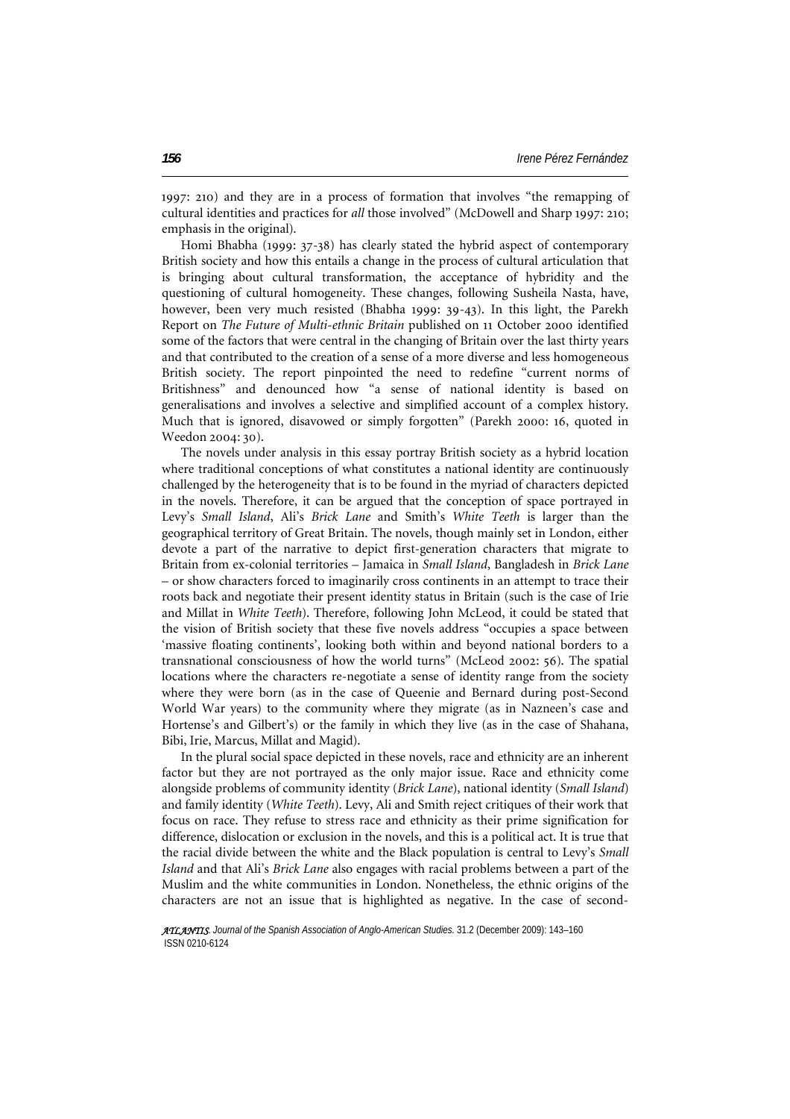1997: 210) and they are in a process of formation that involves "the remapping of cultural identities and practices for *all* those involved" (McDowell and Sharp 1997: 210; emphasis in the original).

Homi Bhabha (1999: 37-38) has clearly stated the hybrid aspect of contemporary British society and how this entails a change in the process of cultural articulation that is bringing about cultural transformation, the acceptance of hybridity and the questioning of cultural homogeneity. These changes, following Susheila Nasta, have, however, been very much resisted (Bhabha 1999: 39-43). In this light, the Parekh Report on *The Future of Multi-ethnic Britain* published on 11 October 2000 identified some of the factors that were central in the changing of Britain over the last thirty years and that contributed to the creation of a sense of a more diverse and less homogeneous British society. The report pinpointed the need to redefine "current norms of Britishness" and denounced how "a sense of national identity is based on generalisations and involves a selective and simplified account of a complex history. Much that is ignored, disavowed or simply forgotten" (Parekh 2000: 16, quoted in Weedon 2004: 30).

The novels under analysis in this essay portray British society as a hybrid location where traditional conceptions of what constitutes a national identity are continuously challenged by the heterogeneity that is to be found in the myriad of characters depicted in the novels. Therefore, it can be argued that the conception of space portrayed in Levy's *Small Island*, Ali's *Brick Lane* and Smith's *White Teeth* is larger than the geographical territory of Great Britain. The novels, though mainly set in London, either devote a part of the narrative to depict first-generation characters that migrate to Britain from ex-colonial territories – Jamaica in *Small Island*, Bangladesh in *Brick Lane* – or show characters forced to imaginarily cross continents in an attempt to trace their roots back and negotiate their present identity status in Britain (such is the case of Irie and Millat in *White Teeth*). Therefore, following John McLeod, it could be stated that the vision of British society that these five novels address "occupies a space between 'massive floating continents', looking both within and beyond national borders to a transnational consciousness of how the world turns" (McLeod 2002: 56). The spatial locations where the characters re-negotiate a sense of identity range from the society where they were born (as in the case of Queenie and Bernard during post-Second World War years) to the community where they migrate (as in Nazneen's case and Hortense's and Gilbert's) or the family in which they live (as in the case of Shahana, Bibi, Irie, Marcus, Millat and Magid).

In the plural social space depicted in these novels, race and ethnicity are an inherent factor but they are not portrayed as the only major issue. Race and ethnicity come alongside problems of community identity (*Brick Lane*), national identity (*Small Island*) and family identity (*White Teeth*). Levy, Ali and Smith reject critiques of their work that focus on race. They refuse to stress race and ethnicity as their prime signification for difference, dislocation or exclusion in the novels, and this is a political act. It is true that the racial divide between the white and the Black population is central to Levy's *Small Island* and that Ali's *Brick Lane* also engages with racial problems between a part of the Muslim and the white communities in London. Nonetheless, the ethnic origins of the characters are not an issue that is highlighted as negative. In the case of second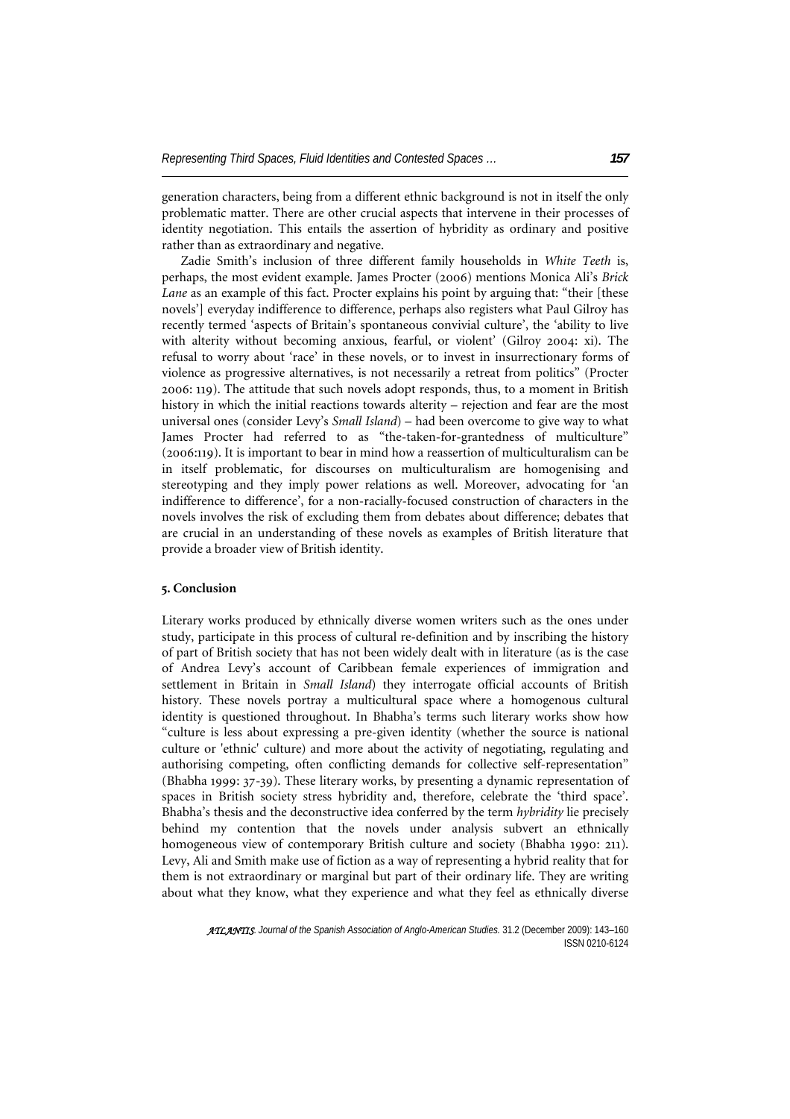generation characters, being from a different ethnic background is not in itself the only problematic matter. There are other crucial aspects that intervene in their processes of identity negotiation. This entails the assertion of hybridity as ordinary and positive rather than as extraordinary and negative.

Zadie Smith's inclusion of three different family households in *White Teeth* is, perhaps, the most evident example. James Procter (2006) mentions Monica Ali's *Brick Lane* as an example of this fact. Procter explains his point by arguing that: "their [these novels'] everyday indifference to difference, perhaps also registers what Paul Gilroy has recently termed 'aspects of Britain's spontaneous convivial culture', the 'ability to live with alterity without becoming anxious, fearful, or violent' (Gilroy 2004: xi). The refusal to worry about 'race' in these novels, or to invest in insurrectionary forms of violence as progressive alternatives, is not necessarily a retreat from politics" (Procter 2006: 119). The attitude that such novels adopt responds, thus, to a moment in British history in which the initial reactions towards alterity – rejection and fear are the most universal ones (consider Levy's *Small Island*) – had been overcome to give way to what James Procter had referred to as "the-taken-for-grantedness of multiculture" (2006:119). It is important to bear in mind how a reassertion of multiculturalism can be in itself problematic, for discourses on multiculturalism are homogenising and stereotyping and they imply power relations as well. Moreover, advocating for 'an indifference to difference', for a non-racially-focused construction of characters in the novels involves the risk of excluding them from debates about difference; debates that are crucial in an understanding of these novels as examples of British literature that provide a broader view of British identity.

### **5. Conclusion**

Literary works produced by ethnically diverse women writers such as the ones under study, participate in this process of cultural re-definition and by inscribing the history of part of British society that has not been widely dealt with in literature (as is the case of Andrea Levy's account of Caribbean female experiences of immigration and settlement in Britain in *Small Island*) they interrogate official accounts of British history. These novels portray a multicultural space where a homogenous cultural identity is questioned throughout. In Bhabha's terms such literary works show how "culture is less about expressing a pre-given identity (whether the source is national culture or 'ethnic' culture) and more about the activity of negotiating, regulating and authorising competing, often conflicting demands for collective self-representation" (Bhabha 1999: 37-39). These literary works, by presenting a dynamic representation of spaces in British society stress hybridity and, therefore, celebrate the 'third space'. Bhabha's thesis and the deconstructive idea conferred by the term *hybridity* lie precisely behind my contention that the novels under analysis subvert an ethnically homogeneous view of contemporary British culture and society (Bhabha 1990: 211). Levy, Ali and Smith make use of fiction as a way of representing a hybrid reality that for them is not extraordinary or marginal but part of their ordinary life. They are writing about what they know, what they experience and what they feel as ethnically diverse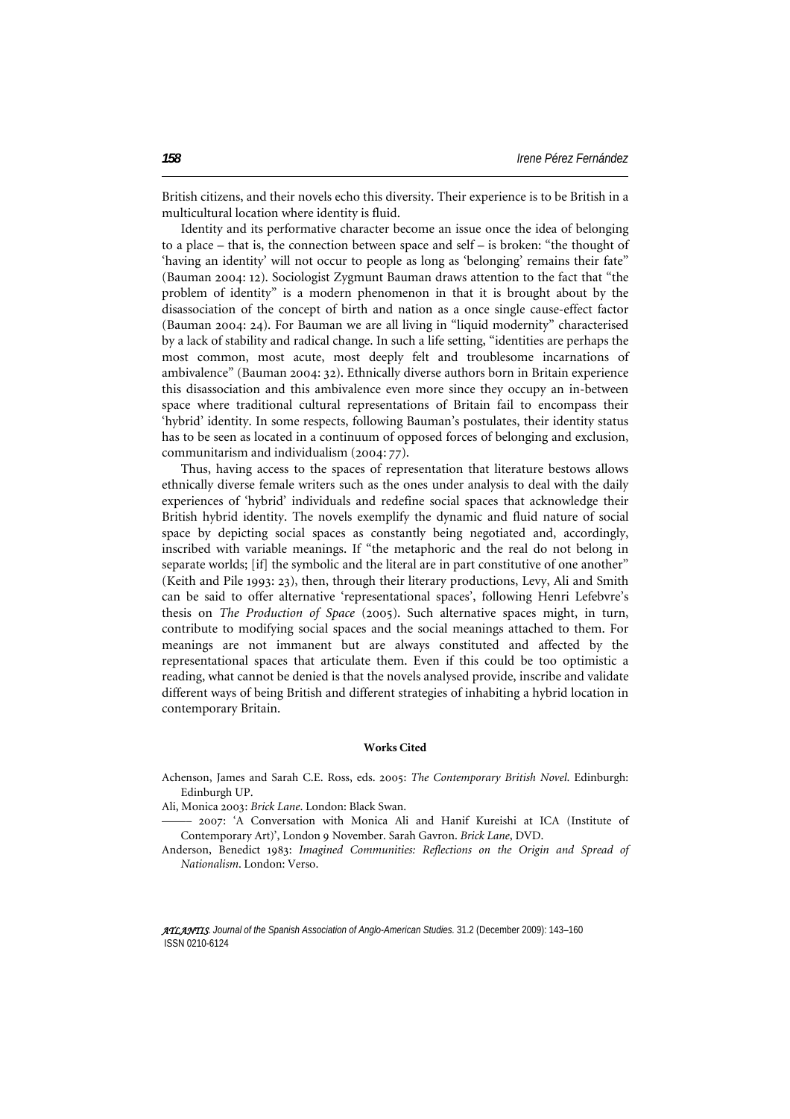British citizens, and their novels echo this diversity. Their experience is to be British in a multicultural location where identity is fluid.

Identity and its performative character become an issue once the idea of belonging to a place – that is, the connection between space and self – is broken: "the thought of 'having an identity' will not occur to people as long as 'belonging' remains their fate" (Bauman 2004: 12). Sociologist Zygmunt Bauman draws attention to the fact that "the problem of identity" is a modern phenomenon in that it is brought about by the disassociation of the concept of birth and nation as a once single cause-effect factor (Bauman 2004: 24). For Bauman we are all living in "liquid modernity" characterised by a lack of stability and radical change. In such a life setting, "identities are perhaps the most common, most acute, most deeply felt and troublesome incarnations of ambivalence" (Bauman 2004: 32). Ethnically diverse authors born in Britain experience this disassociation and this ambivalence even more since they occupy an in-between space where traditional cultural representations of Britain fail to encompass their 'hybrid' identity. In some respects, following Bauman's postulates, their identity status has to be seen as located in a continuum of opposed forces of belonging and exclusion, communitarism and individualism (2004: 77).

Thus, having access to the spaces of representation that literature bestows allows ethnically diverse female writers such as the ones under analysis to deal with the daily experiences of 'hybrid' individuals and redefine social spaces that acknowledge their British hybrid identity. The novels exemplify the dynamic and fluid nature of social space by depicting social spaces as constantly being negotiated and, accordingly, inscribed with variable meanings. If "the metaphoric and the real do not belong in separate worlds; [if] the symbolic and the literal are in part constitutive of one another" (Keith and Pile 1993: 23), then, through their literary productions, Levy, Ali and Smith can be said to offer alternative 'representational spaces', following Henri Lefebvre's thesis on *The Production of Space* (2005). Such alternative spaces might, in turn, contribute to modifying social spaces and the social meanings attached to them. For meanings are not immanent but are always constituted and affected by the representational spaces that articulate them. Even if this could be too optimistic a reading, what cannot be denied is that the novels analysed provide, inscribe and validate different ways of being British and different strategies of inhabiting a hybrid location in contemporary Britain.

#### **Works Cited**

Achenson, James and Sarah C.E. Ross, eds. 2005: *The Contemporary British Novel*. Edinburgh: Edinburgh UP.

Ali, Monica 2003: *Brick Lane*. London: Black Swan.

––––– 2007: 'A Conversation with Monica Ali and Hanif Kureishi at ICA (Institute of Contemporary Art)', London 9 November. Sarah Gavron. *Brick Lane*, DVD.

Anderson, Benedict 1983: *Imagined Communities: Reflections on the Origin and Spread of Nationalism*. London: Verso.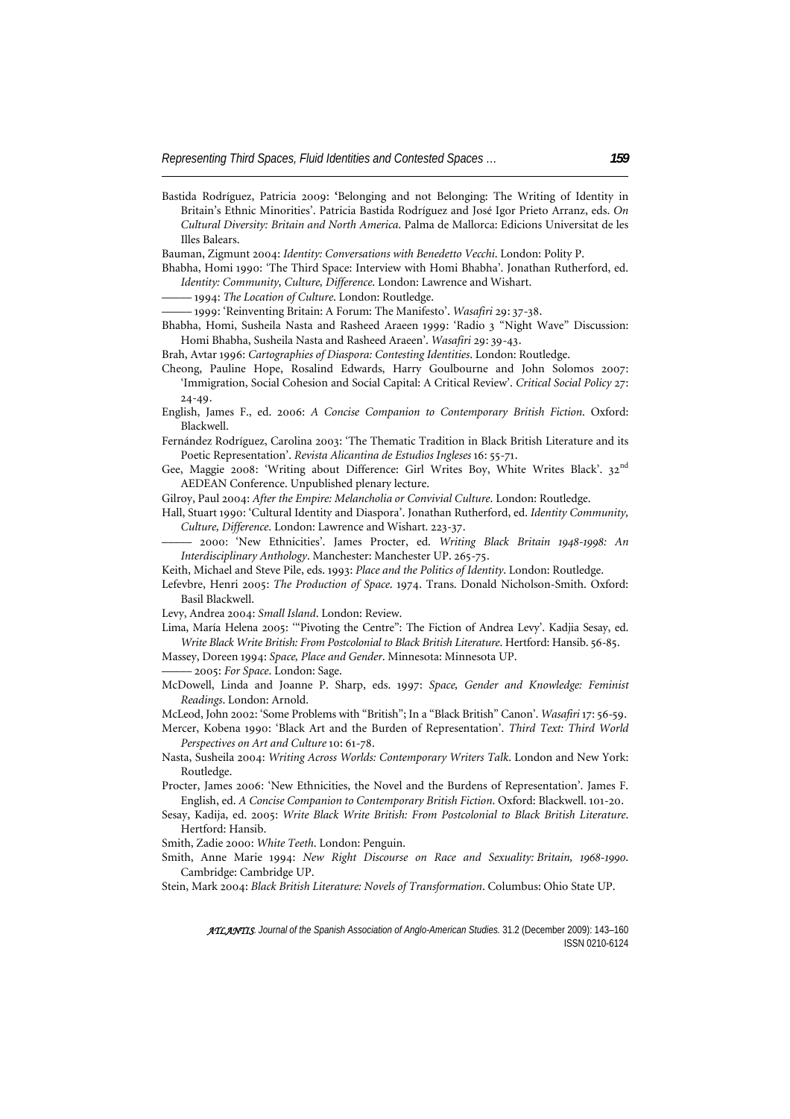Bastida Rodríguez, Patricia 2009: **'**Belonging and not Belonging: The Writing of Identity in Britain's Ethnic Minorities'. Patricia Bastida Rodríguez and José Igor Prieto Arranz, eds. *On Cultural Diversity: Britain and North America*. Palma de Mallorca: Edicions Universitat de les Illes Balears.

Bauman, Zigmunt 2004: *Identity: Conversations with Benedetto Vecchi*. London: Polity P.

Bhabha, Homi 1990: 'The Third Space: Interview with Homi Bhabha'. Jonathan Rutherford, ed. *Identity: Community, Culture, Difference*. London: Lawrence and Wishart.

––––– 1994: *The Location of Culture*. London: Routledge.

––––– 1999: 'Reinventing Britain: A Forum: The Manifesto'. *Wasafiri* 29: 37-38.

Bhabha, Homi, Susheila Nasta and Rasheed Araeen 1999: 'Radio 3 "Night Wave" Discussion: Homi Bhabha, Susheila Nasta and Rasheed Araeen'. *Wasafiri* 29: 39-43.

Brah, Avtar 1996: *Cartographies of Diaspora: Contesting Identities*. London: Routledge.

- Cheong, Pauline Hope, Rosalind Edwards, Harry Goulbourne and John Solomos 2007: 'Immigration, Social Cohesion and Social Capital: A Critical Review'. *Critical Social Policy* 27: 24-49.
- English, James F., ed. 2006: *A Concise Companion to Contemporary British Fiction*. Oxford: Blackwell.

Fernández Rodríguez, Carolina 2003: 'The Thematic Tradition in Black British Literature and its Poetic Representation'. *Revista Alicantina de Estudios Ingleses* 16: 55-71.

Gee, Maggie 2008: 'Writing about Difference: Girl Writes Boy, White Writes Black'. 32<sup>nd</sup> AEDEAN Conference. Unpublished plenary lecture.

Gilroy, Paul 2004: *After the Empire: Melancholia or Convivial Culture*. London: Routledge.

- Hall, Stuart 1990: 'Cultural Identity and Diaspora'. Jonathan Rutherford, ed. *Identity Community, Culture, Difference*. London: Lawrence and Wishart. 223-37.
- ––––– 2000: 'New Ethnicities'. James Procter, ed. *Writing Black Britain 1948-1998: An Interdisciplinary Anthology*. Manchester: Manchester UP. 265-75.
- Keith, Michael and Steve Pile, eds. 1993: *Place and the Politics of Identity*. London: Routledge.
- Lefevbre, Henri 2005: *The Production of Space*. 1974. Trans. Donald Nicholson-Smith. Oxford: Basil Blackwell.
- Levy, Andrea 2004: *Small Island*. London: Review.

Lima, María Helena 2005: '"Pivoting the Centre": The Fiction of Andrea Levy'. Kadjia Sesay, ed. *Write Black Write British: From Postcolonial to Black British Literature*. Hertford: Hansib. 56-85.

Massey, Doreen 1994: *Space, Place and Gender*. Minnesota: Minnesota UP.

––––– 2005: *For Space*. London: Sage.

McDowell, Linda and Joanne P. Sharp, eds. 1997: *Space, Gender and Knowledge: Feminist Readings*. London: Arnold.

McLeod, John 2002: 'Some Problems with "British"; In a "Black British" Canon'. *Wasafiri* 17: 56-59.

- Mercer, Kobena 1990: 'Black Art and the Burden of Representation'. *Third Text: Third World Perspectives on Art and Culture* 10: 61-78.
- Nasta, Susheila 2004: *Writing Across Worlds: Contemporary Writers Talk*. London and New York: Routledge.

Procter, James 2006: 'New Ethnicities, the Novel and the Burdens of Representation'. James F. English, ed. *A Concise Companion to Contemporary British Fiction*. Oxford: Blackwell. 101-20.

Sesay, Kadija, ed. 2005: *Write Black Write British: From Postcolonial to Black British Literature*. Hertford: Hansib.

Smith, Zadie 2000: *White Teeth*. London: Penguin.

Smith, Anne Marie 1994: *New Right Discourse on Race and Sexuality: Britain, 1968-1990*. Cambridge: Cambridge UP.

Stein, Mark 2004: *Black British Literature: Novels of Transformation*. Columbus: Ohio State UP.